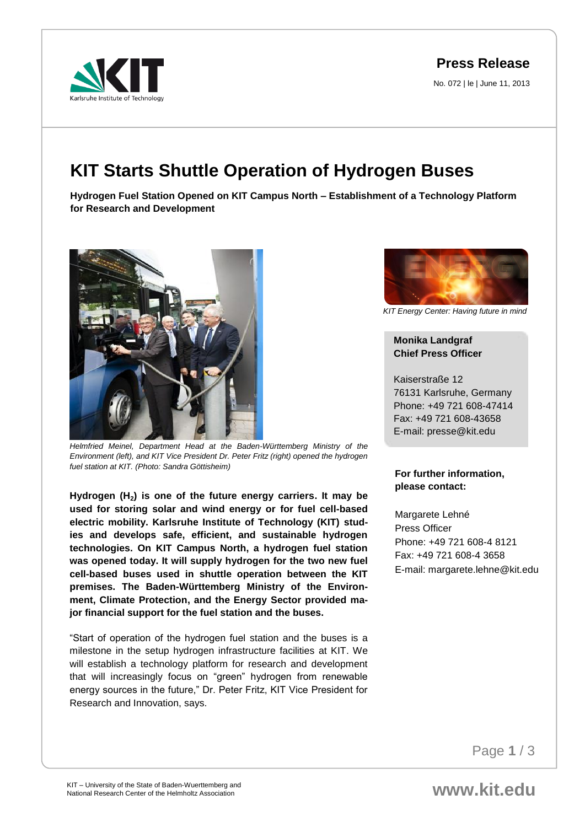**Press Release**

No. 072 | le | June 11, 2013



## **KIT Starts Shuttle Operation of Hydrogen Buses**

**Hydrogen Fuel Station Opened on KIT Campus North – Establishment of a Technology Platform for Research and Development** 



*Helmfried Meinel, Department Head at the Baden-Württemberg Ministry of the Environment (left), and KIT Vice President Dr. Peter Fritz (right) opened the hydrogen fuel station at KIT. (Photo: Sandra Göttisheim)*

**Hydrogen (H2) is one of the future energy carriers. It may be used for storing solar and wind energy or for fuel cell-based electric mobility. Karlsruhe Institute of Technology (KIT) studies and develops safe, efficient, and sustainable hydrogen technologies. On KIT Campus North, a hydrogen fuel station was opened today. It will supply hydrogen for the two new fuel cell-based buses used in shuttle operation between the KIT premises. The Baden-Württemberg Ministry of the Environment, Climate Protection, and the Energy Sector provided major financial support for the fuel station and the buses.** 

"Start of operation of the hydrogen fuel station and the buses is a milestone in the setup hydrogen infrastructure facilities at KIT. We will establish a technology platform for research and development that will increasingly focus on "green" hydrogen from renewable energy sources in the future," Dr. Peter Fritz, KIT Vice President for Research and Innovation, says.



*KIT Energy Center: Having future in mind*

## **Monika Landgraf Chief Press Officer**

Kaiserstraße 12 76131 Karlsruhe, Germany Phone: +49 721 608-47414 Fax: +49 721 608-43658 E-mail: presse@kit.edu

## **For further information, please contact:**

Margarete Lehné Press Officer Phone: +49 721 608-4 8121 Fax: +49 721 608-4 3658 E-mail: margarete.lehne@kit.edu

Page **1** / 3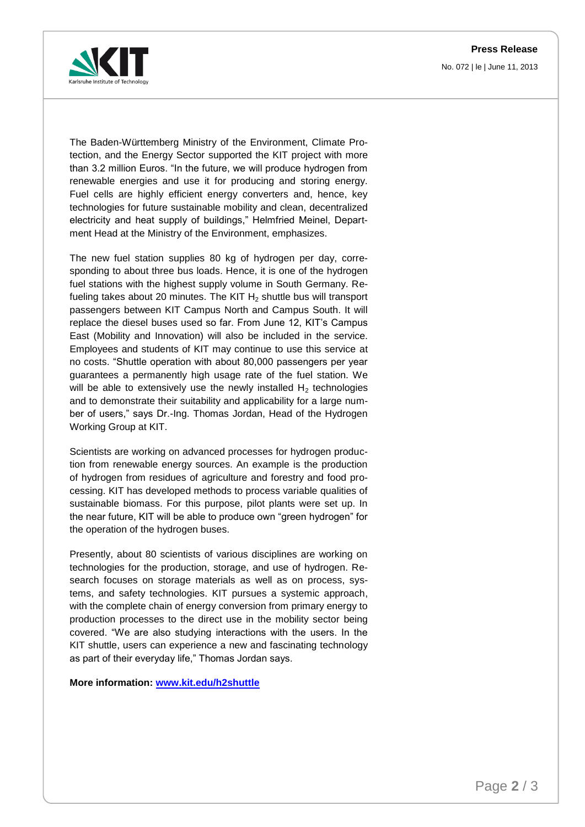**Press Release** No. 072 | le | June 11, 2013



The Baden-Württemberg Ministry of the Environment, Climate Protection, and the Energy Sector supported the KIT project with more than 3.2 million Euros. "In the future, we will produce hydrogen from renewable energies and use it for producing and storing energy. Fuel cells are highly efficient energy converters and, hence, key technologies for future sustainable mobility and clean, decentralized electricity and heat supply of buildings," Helmfried Meinel, Department Head at the Ministry of the Environment, emphasizes.

The new fuel station supplies 80 kg of hydrogen per day, corresponding to about three bus loads. Hence, it is one of the hydrogen fuel stations with the highest supply volume in South Germany. Refueling takes about 20 minutes. The KIT  $H<sub>2</sub>$  shuttle bus will transport passengers between KIT Campus North and Campus South. It will replace the diesel buses used so far. From June 12, KIT's Campus East (Mobility and Innovation) will also be included in the service. Employees and students of KIT may continue to use this service at no costs. "Shuttle operation with about 80,000 passengers per year guarantees a permanently high usage rate of the fuel station. We will be able to extensively use the newly installed  $H_2$  technologies and to demonstrate their suitability and applicability for a large number of users," says Dr.-Ing. Thomas Jordan, Head of the Hydrogen Working Group at KIT.

Scientists are working on advanced processes for hydrogen production from renewable energy sources. An example is the production of hydrogen from residues of agriculture and forestry and food processing. KIT has developed methods to process variable qualities of sustainable biomass. For this purpose, pilot plants were set up. In the near future, KIT will be able to produce own "green hydrogen" for the operation of the hydrogen buses.

Presently, about 80 scientists of various disciplines are working on technologies for the production, storage, and use of hydrogen. Research focuses on storage materials as well as on process, systems, and safety technologies. KIT pursues a systemic approach, with the complete chain of energy conversion from primary energy to production processes to the direct use in the mobility sector being covered. "We are also studying interactions with the users. In the KIT shuttle, users can experience a new and fascinating technology as part of their everyday life," Thomas Jordan says.

**More information: [www.kit.edu/h2shuttle](http://www.kit.edu/h2shuttle)**